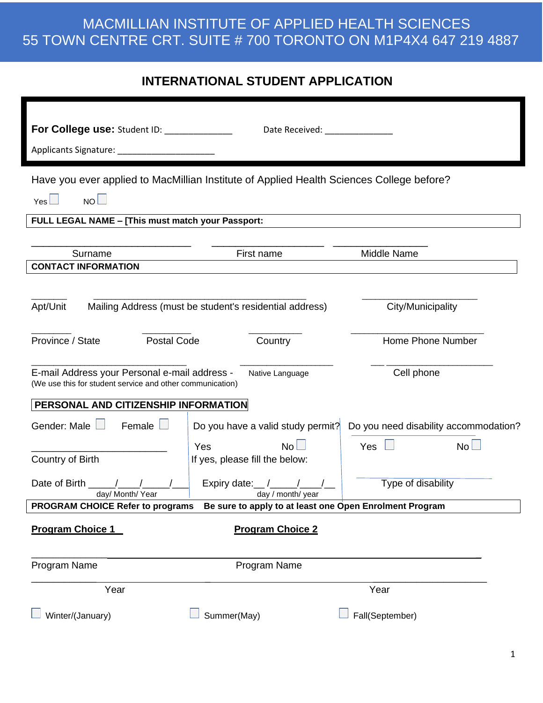#### **INTERNATIONAL STUDENT APPLICATION**

| For College use: Student ID: __________                                                                                       | Date Received: National Property of the Contract of the Contract of the Contract of the Contract of the Contract of the Contract of the Contract of the Contract of the Contract of the Contract of the Contract of the Contra |                                       |  |
|-------------------------------------------------------------------------------------------------------------------------------|--------------------------------------------------------------------------------------------------------------------------------------------------------------------------------------------------------------------------------|---------------------------------------|--|
|                                                                                                                               |                                                                                                                                                                                                                                |                                       |  |
| Have you ever applied to MacMillian Institute of Applied Health Sciences College before?                                      |                                                                                                                                                                                                                                |                                       |  |
|                                                                                                                               |                                                                                                                                                                                                                                |                                       |  |
| NO<br>$Yes \Box$                                                                                                              |                                                                                                                                                                                                                                |                                       |  |
| FULL LEGAL NAME - [This must match your Passport:                                                                             |                                                                                                                                                                                                                                |                                       |  |
| Surname                                                                                                                       | First name                                                                                                                                                                                                                     | Middle Name                           |  |
| <b>CONTACT INFORMATION</b>                                                                                                    |                                                                                                                                                                                                                                |                                       |  |
|                                                                                                                               |                                                                                                                                                                                                                                |                                       |  |
| Apt/Unit                                                                                                                      | Mailing Address (must be student's residential address)                                                                                                                                                                        | City/Municipality                     |  |
| Province / State                                                                                                              | <b>Postal Code</b><br>Country                                                                                                                                                                                                  |                                       |  |
| E-mail Address your Personal e-mail address -<br>Native Language<br>(We use this for student service and other communication) |                                                                                                                                                                                                                                | Cell phone                            |  |
| PERSONAL AND CITIZENSHIP INFORMATION                                                                                          |                                                                                                                                                                                                                                |                                       |  |
| Gender: Male $\Box$<br>Female                                                                                                 | Do you have a valid study permit?                                                                                                                                                                                              | Do you need disability accommodation? |  |
| Country of Birth                                                                                                              | No L<br>Yes<br>If yes, please fill the below:                                                                                                                                                                                  | No <sub>1</sub><br>Yes                |  |
| Date of Birth<br>day/ Month/ Year                                                                                             | Expiry date: $/$ $/$<br>day / month/ year                                                                                                                                                                                      | Type of disability                    |  |
| <b>PROGRAM CHOICE Refer to programs</b><br>Be sure to apply to at least one Open Enrolment Program                            |                                                                                                                                                                                                                                |                                       |  |
| Program Choice 1                                                                                                              | <b>Program Choice 2</b>                                                                                                                                                                                                        |                                       |  |
|                                                                                                                               |                                                                                                                                                                                                                                |                                       |  |
| Program Name                                                                                                                  | Program Name                                                                                                                                                                                                                   |                                       |  |
| Year                                                                                                                          |                                                                                                                                                                                                                                | Year                                  |  |
| Winter/(January)                                                                                                              | Summer(May)                                                                                                                                                                                                                    | Fall(September)                       |  |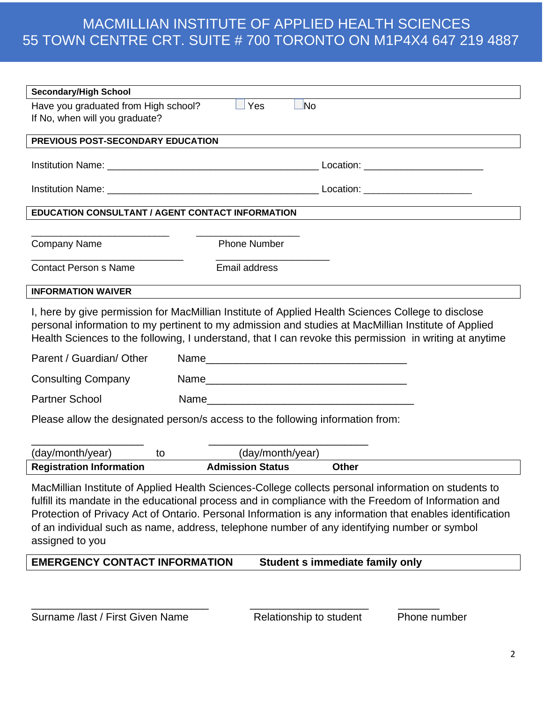| <b>Secondary/High School</b>                                                                                                                                                                                                                                                                                                                                                                                                                 |                         |                                                                                                         |  |
|----------------------------------------------------------------------------------------------------------------------------------------------------------------------------------------------------------------------------------------------------------------------------------------------------------------------------------------------------------------------------------------------------------------------------------------------|-------------------------|---------------------------------------------------------------------------------------------------------|--|
| Have you graduated from High school?<br>If No, when will you graduate?                                                                                                                                                                                                                                                                                                                                                                       | $\Box$ No<br>Yes        |                                                                                                         |  |
| PREVIOUS POST-SECONDARY EDUCATION                                                                                                                                                                                                                                                                                                                                                                                                            |                         |                                                                                                         |  |
|                                                                                                                                                                                                                                                                                                                                                                                                                                              |                         |                                                                                                         |  |
|                                                                                                                                                                                                                                                                                                                                                                                                                                              |                         |                                                                                                         |  |
| <b>EDUCATION CONSULTANT / AGENT CONTACT INFORMATION</b>                                                                                                                                                                                                                                                                                                                                                                                      |                         |                                                                                                         |  |
|                                                                                                                                                                                                                                                                                                                                                                                                                                              |                         |                                                                                                         |  |
| <b>Company Name</b>                                                                                                                                                                                                                                                                                                                                                                                                                          | <b>Phone Number</b>     |                                                                                                         |  |
| <b>Contact Person s Name</b>                                                                                                                                                                                                                                                                                                                                                                                                                 | Email address           |                                                                                                         |  |
| <b>INFORMATION WAIVER</b>                                                                                                                                                                                                                                                                                                                                                                                                                    |                         |                                                                                                         |  |
| I, here by give permission for MacMillian Institute of Applied Health Sciences College to disclose<br>personal information to my pertinent to my admission and studies at MacMillian Institute of Applied                                                                                                                                                                                                                                    |                         | Health Sciences to the following, I understand, that I can revoke this permission in writing at anytime |  |
| Parent / Guardian/ Other                                                                                                                                                                                                                                                                                                                                                                                                                     |                         |                                                                                                         |  |
| <b>Consulting Company</b>                                                                                                                                                                                                                                                                                                                                                                                                                    |                         |                                                                                                         |  |
| <b>Partner School</b>                                                                                                                                                                                                                                                                                                                                                                                                                        |                         |                                                                                                         |  |
| Please allow the designated person/s access to the following information from:                                                                                                                                                                                                                                                                                                                                                               |                         |                                                                                                         |  |
| (day/month/year)<br>to                                                                                                                                                                                                                                                                                                                                                                                                                       | (day/month/year)        |                                                                                                         |  |
| <b>Registration Information</b>                                                                                                                                                                                                                                                                                                                                                                                                              | <b>Admission Status</b> | <b>Other</b>                                                                                            |  |
| MacMillian Institute of Applied Health Sciences-College collects personal information on students to<br>fulfill its mandate in the educational process and in compliance with the Freedom of Information and<br>Protection of Privacy Act of Ontario. Personal Information is any information that enables identification<br>of an individual such as name, address, telephone number of any identifying number or symbol<br>assigned to you |                         |                                                                                                         |  |
| <b>EMERGENCY CONTACT INFORMATION</b>                                                                                                                                                                                                                                                                                                                                                                                                         |                         | Student s immediate family only                                                                         |  |
|                                                                                                                                                                                                                                                                                                                                                                                                                                              |                         |                                                                                                         |  |

\_\_\_\_\_\_\_\_\_\_\_\_\_\_\_\_\_\_\_\_\_\_\_\_\_\_\_\_\_\_ \_\_\_\_\_\_\_\_\_\_\_\_\_\_\_\_\_\_\_\_ \_\_\_\_\_\_\_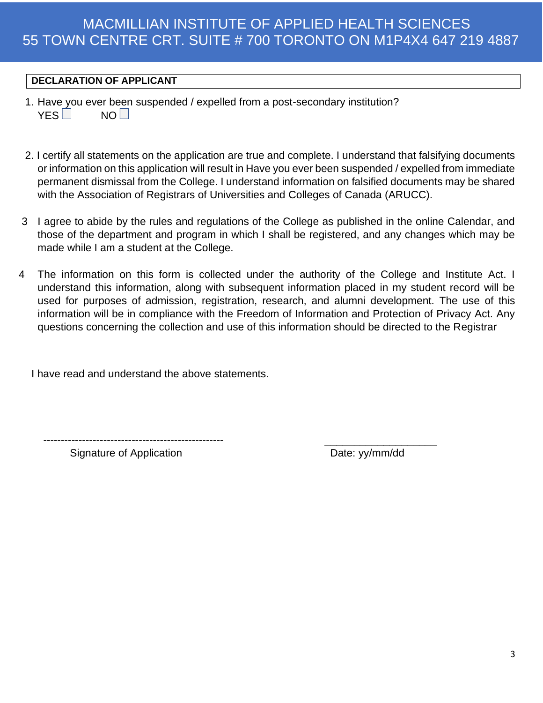#### **DECLARATION OF APPLICANT**

- 1. Have you ever been suspended / expelled from a post-secondary institution?  $YES \Box$  NO $\P$
- 2. I certify all statements on the application are true and complete. I understand that falsifying documents or information on this application will result in Have you ever been suspended / expelled from immediate permanent dismissal from the College. I understand information on falsified documents may be shared with the Association of Registrars of Universities and Colleges of Canada (ARUCC).
- 3 I agree to abide by the rules and regulations of the College as published in the online Calendar, and those of the department and program in which I shall be registered, and any changes which may be made while I am a student at the College.
- 4 The information on this form is collected under the authority of the College and Institute Act. I understand this information, along with subsequent information placed in my student record will be used for purposes of admission, registration, research, and alumni development. The use of this information will be in compliance with the Freedom of Information and Protection of Privacy Act. Any questions concerning the collection and use of this information should be directed to the Registrar

I have read and understand the above statements.

--------------------------------------------------- \_\_\_\_\_\_\_\_\_\_\_\_\_\_\_\_\_\_\_

Signature of Application **Date:** yy/mm/dd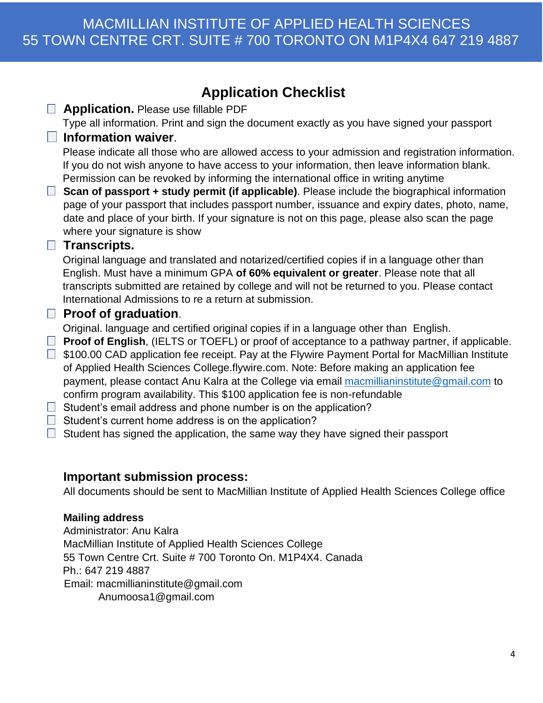# **Application Checklist**

| <b>Application. Please use fillable PDF</b>                                                                                                                                                                                                                                                                                                   |
|-----------------------------------------------------------------------------------------------------------------------------------------------------------------------------------------------------------------------------------------------------------------------------------------------------------------------------------------------|
| Type all information. Print and sign the document exactly as you have signed your passport                                                                                                                                                                                                                                                    |
| <b>Information waiver.</b>                                                                                                                                                                                                                                                                                                                    |
| Please indicate all those who are allowed access to your admission and registration information.<br>If you do not wish anyone to have access to your information, then leave information blank.                                                                                                                                               |
| Permission can be revoked by informing the international office in writing anytime                                                                                                                                                                                                                                                            |
| Scan of passport + study permit (if applicable). Please include the biographical information<br>page of your passport that includes passport number, issuance and expiry dates, photo, name,<br>date and place of your birth. If your signature is not on this page, please also scan the page<br>where your signature is show                |
| <b>Transcripts.</b>                                                                                                                                                                                                                                                                                                                           |
| Original language and translated and notarized/certified copies if in a language other than<br>English. Must have a minimum GPA of 60% equivalent or greater. Please note that all<br>transcripts submitted are retained by college and will not be returned to you. Please contact<br>International Admissions to re a return at submission. |
| <b>Proof of graduation.</b>                                                                                                                                                                                                                                                                                                                   |
| Original. language and certified original copies if in a language other than English.<br><b>Proof of English, (IELTS or TOEFL) or proof of acceptance to a pathway partner, if applicable.</b>                                                                                                                                                |
| \$100.00 CAD application fee receipt. Pay at the Flywire Payment Portal for MacMillian Institute                                                                                                                                                                                                                                              |
| of Applied Health Sciences College.flywire.com. Note: Before making an application fee                                                                                                                                                                                                                                                        |
| payment, please contact Anu Kalra at the College via email macmillianinstitute@gmail.com to                                                                                                                                                                                                                                                   |
| confirm program availability. This \$100 application fee is non-refundable                                                                                                                                                                                                                                                                    |
| Student's email address and phone number is on the application?                                                                                                                                                                                                                                                                               |
| $P$ tudont's surrent home address is an the application?                                                                                                                                                                                                                                                                                      |

- $\Box$  Student's current home address is on the application?  $\Box$  Student has signed the application, the same way they have signed their passport
	-

#### **Important submission process:**

All documents should be sent to MacMillian Institute of Applied Health Sciences College office

#### **Mailing address**

 $\Box$ 

 $\Box$ 

 $\Box$ 

 $\Box$ 

 $\Box$ 

 $\Box$  $\Box$ 

 $\Box$ 

Administrator: Anu Kalra MacMillian Institute of Applied Health Sciences College 55 Town Centre Crt. Suite # 700 Toronto On. M1P4X4. Canada Ph.: 647 219 4887 Email: macmillianinstitute@gmail.com Anumoosa1@gmail.com